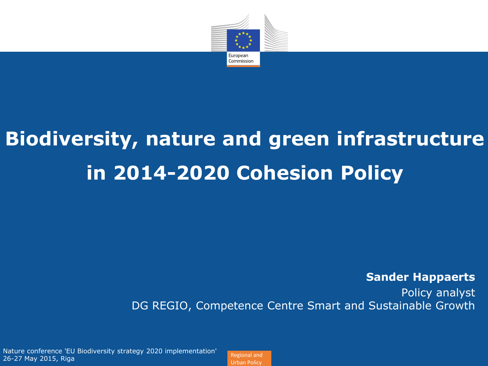

# **Biodiversity, nature and green infrastructure in 2014-2020 Cohesion Policy**

**Sander Happaerts**

Policy analyst DG REGIO, Competence Centre Smart and Sustainable Growth

Nature conference 'EU Biodiversity strategy 2020 implementation' 26-27 May 2015, Riga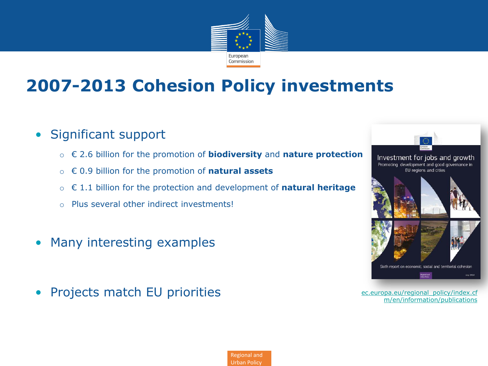

### **2007-2013 Cohesion Policy investments**

- Significant support
	- o € 2.6 billion for the promotion of **biodiversity** and **nature protection**
	- o € 0.9 billion for the promotion of **natural assets**
	- o € 1.1 billion for the protection and development of **natural heritage**
	- o Plus several other indirect investments!
- Many interesting examples
- Projects match EU priorities **Example 2018** [ec.europa.eu/regional\\_policy/index.cf](http://ec.europa.eu/regional_policy/index.cfm/en/information/publications/)



[m/en/information/publications](http://ec.europa.eu/regional_policy/index.cfm/en/information/publications/)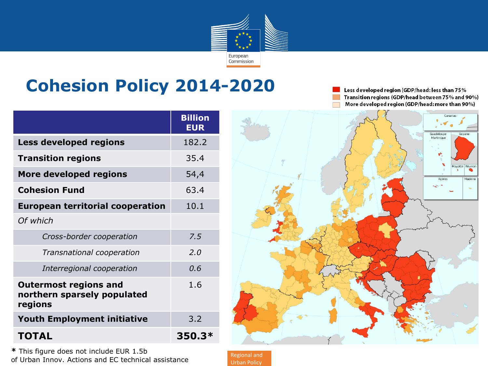

### **Cohesion Policy 2014-2020**

Less developed region (GDP/head: less than 75% Transition regions (GDP/head between 75% and 90%) More developed region (GDP/head: more than 90%)

|                                                                        | <b>Billion</b><br><b>EUR</b> |
|------------------------------------------------------------------------|------------------------------|
| <b>Less developed regions</b>                                          | 182.2                        |
| <b>Transition regions</b>                                              | 35.4                         |
| More developed regions                                                 | 54,4                         |
| <b>Cohesion Fund</b>                                                   | 63.4                         |
| <b>European territorial cooperation</b>                                | 10.1                         |
| Of which                                                               |                              |
| Cross-border cooperation                                               | 7.5                          |
| Transnational cooperation                                              | 2.0                          |
| Interregional cooperation                                              | 0.6                          |
| <b>Outermost regions and</b><br>northern sparsely populated<br>regions | 1.6                          |
| <b>Youth Employment initiative</b>                                     | 3.2                          |
| <b>TOTAL</b>                                                           | 350.3*                       |

**\*** This figure does not include EUR 1.5b of Urban Innov. Actions and EC technical assistance

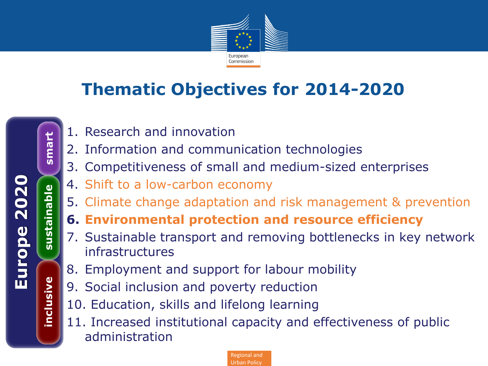

### **Thematic Objectives for 2014-2020**

- 1. Research and innovation
- 2. Information and communication technologies
- 3. Competitiveness of small and medium-sized enterprises
- 4. Shift to a low-carbon economy
- 5. Climate change adaptation and risk management & prevention
- **6. Environmental protection and resource efficiency**
- 7. Sustainable transport and removing bottlenecks in key network infrastructures
- 8. Employment and support for labour mobility
- 9. Social inclusion and poverty reduction
- 10. Education, skills and lifelong learning
- 11. Increased institutional capacity and effectiveness of public administration

Regional and Urban Policy

**inclusive sustainable smart**

sustainable

inclusive

smart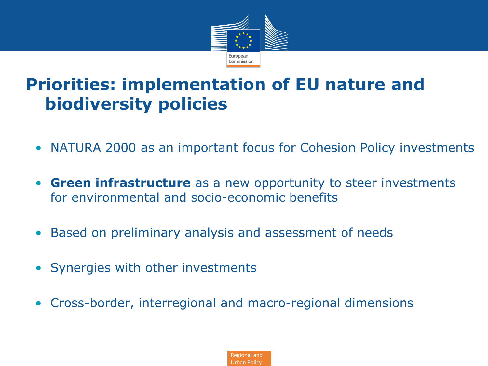

### **Priorities: implementation of EU nature and biodiversity policies**

- NATURA 2000 as an important focus for Cohesion Policy investments
- **Green infrastructure** as a new opportunity to steer investments for environmental and socio-economic benefits
- Based on preliminary analysis and assessment of needs
- Synergies with other investments
- Cross-border, interregional and macro-regional dimensions

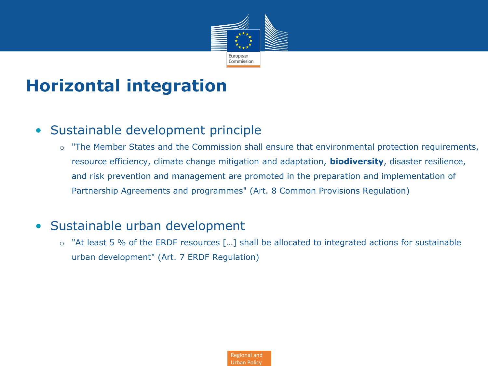

### **Horizontal integration**

#### • Sustainable development principle

o "The Member States and the Commission shall ensure that environmental protection requirements, resource efficiency, climate change mitigation and adaptation, **biodiversity**, disaster resilience, and risk prevention and management are promoted in the preparation and implementation of Partnership Agreements and programmes" (Art. 8 Common Provisions Regulation)

#### • Sustainable urban development

o "At least 5 % of the ERDF resources […] shall be allocated to integrated actions for sustainable urban development" (Art. 7 ERDF Regulation)

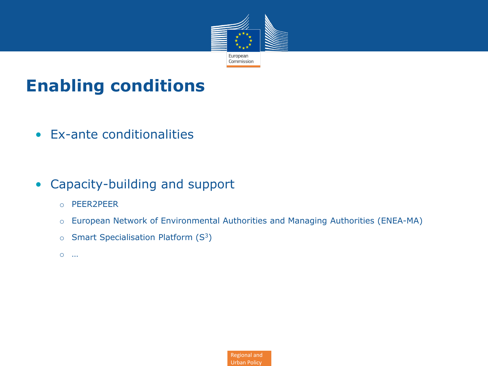

### **Enabling conditions**

- Ex-ante conditionalities
- Capacity-building and support
	- o PEER2PEER
	- o European Network of Environmental Authorities and Managing Authorities (ENEA-MA)
	- $\circ$  Smart Specialisation Platform (S<sup>3</sup>)
	- o …

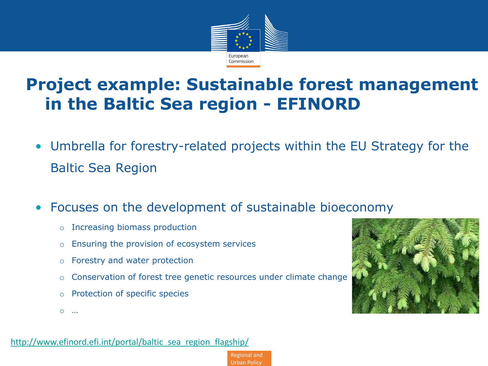

### **Project example: Sustainable forest management in the Baltic Sea region - EFINORD**

• Umbrella for forestry-related projects within the EU Strategy for the Baltic Sea Region

> Regional and Urban Policy

- Focuses on the development of sustainable bioeconomy
	- o Increasing biomass production
	- o Ensuring the provision of ecosystem services
	- o Forestry and water protection
	- o Conservation of forest tree genetic resources under climate change
	- o Protection of specific species
	- o …

http://www.efinord.efi.int/portal/baltic\_sea\_region\_flagship/

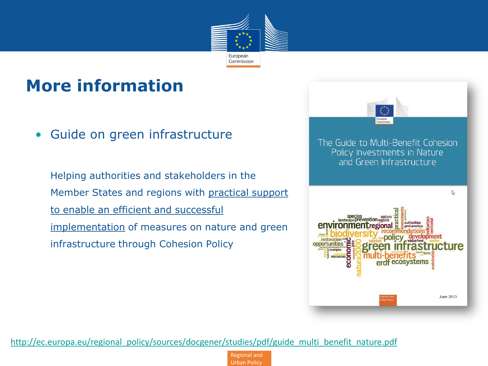

### **More information**

• Guide on green infrastructure

Helping authorities and stakeholders in the Member States and regions with practical support to enable an efficient and successful implementation of measures on nature and green infrastructure through Cohesion Policy



[http://ec.europa.eu/regional\\_policy/sources/docgener/studies/pdf/guide\\_multi\\_benefit\\_nature.pdf](http://ec.europa.eu/regional_policy/sources/docgener/studies/pdf/guide_multi_benefit_nature.pdf)